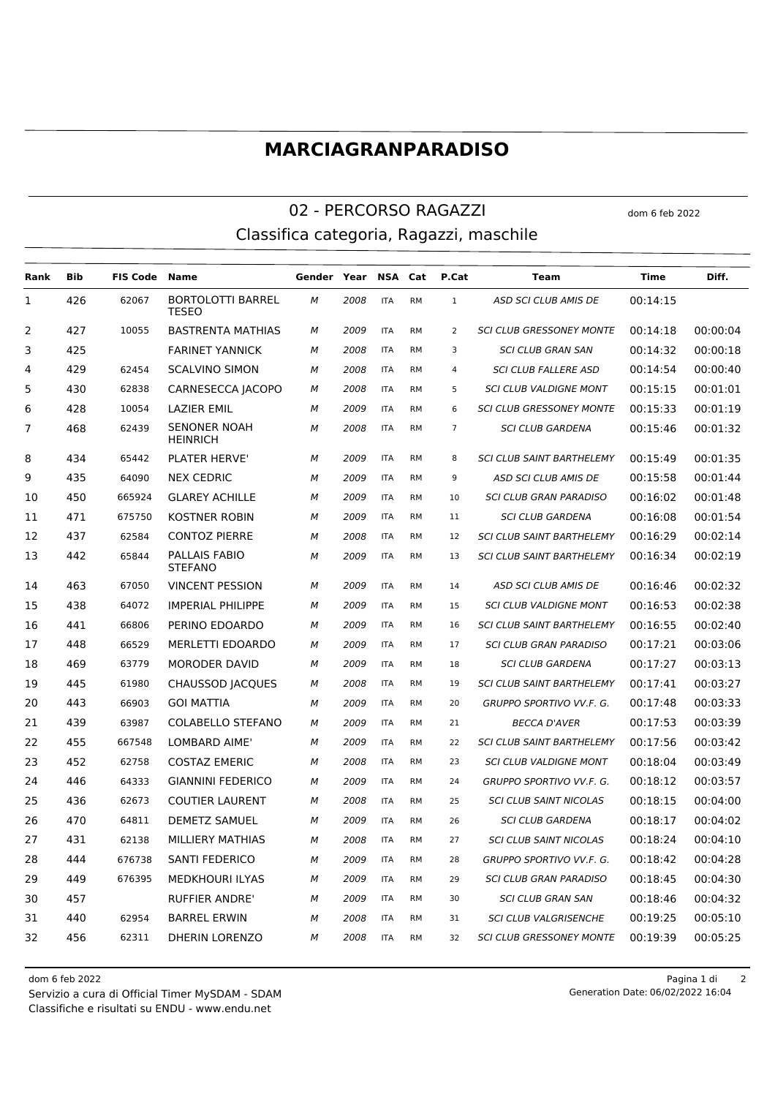## **MARCIAGRANPARADISO**

## 02 - PERCORSO RAGAZZI dom 6 feb 2022 Classifica categoria, Ragazzi, maschile

| Rank           | <b>Bib</b> | <b>FIS Code</b> | <b>Name</b>                              | Gender | Year | <b>NSA</b> | Cat       | P.Cat          | Team                             | <b>Time</b> | Diff.    |
|----------------|------------|-----------------|------------------------------------------|--------|------|------------|-----------|----------------|----------------------------------|-------------|----------|
| 1              | 426        | 62067           | <b>BORTOLOTTI BARREL</b><br><b>TESEO</b> | M      | 2008 | <b>ITA</b> | <b>RM</b> | $\mathbf{1}$   | ASD SCI CLUB AMIS DE             | 00:14:15    |          |
| 2              | 427        | 10055           | <b>BASTRENTA MATHIAS</b>                 | М      | 2009 | <b>ITA</b> | <b>RM</b> | $\overline{2}$ | <b>SCI CLUB GRESSONEY MONTE</b>  | 00:14:18    | 00:00:04 |
| 3              | 425        |                 | <b>FARINET YANNICK</b>                   | М      | 2008 | <b>ITA</b> | <b>RM</b> | 3              | <b>SCI CLUB GRAN SAN</b>         | 00:14:32    | 00:00:18 |
| 4              | 429        | 62454           | <b>SCALVINO SIMON</b>                    | М      | 2008 | <b>ITA</b> | <b>RM</b> | $\overline{4}$ | <b>SCI CLUB FALLERE ASD</b>      | 00:14:54    | 00:00:40 |
| 5              | 430        | 62838           | CARNESECCA JACOPO                        | M      | 2008 | <b>ITA</b> | <b>RM</b> | 5              | <b>SCI CLUB VALDIGNE MONT</b>    | 00:15:15    | 00:01:01 |
| 6              | 428        | 10054           | <b>LAZIER EMIL</b>                       | М      | 2009 | <b>ITA</b> | <b>RM</b> | 6              | <b>SCI CLUB GRESSONEY MONTE</b>  | 00:15:33    | 00:01:19 |
| $\overline{7}$ | 468        | 62439           | <b>SENONER NOAH</b><br><b>HEINRICH</b>   | M      | 2008 | <b>ITA</b> | <b>RM</b> | $\overline{7}$ | <b>SCI CLUB GARDENA</b>          | 00:15:46    | 00:01:32 |
| 8              | 434        | 65442           | PLATER HERVE'                            | М      | 2009 | <b>ITA</b> | <b>RM</b> | 8              | <b>SCI CLUB SAINT BARTHELEMY</b> | 00:15:49    | 00:01:35 |
| 9              | 435        | 64090           | <b>NEX CEDRIC</b>                        | M      | 2009 | <b>ITA</b> | <b>RM</b> | 9              | ASD SCI CLUB AMIS DE             | 00:15:58    | 00:01:44 |
| 10             | 450        | 665924          | <b>GLAREY ACHILLE</b>                    | М      | 2009 | <b>ITA</b> | <b>RM</b> | 10             | <b>SCI CLUB GRAN PARADISO</b>    | 00:16:02    | 00:01:48 |
| 11             | 471        | 675750          | <b>KOSTNER ROBIN</b>                     | М      | 2009 | <b>ITA</b> | <b>RM</b> | 11             | <b>SCI CLUB GARDENA</b>          | 00:16:08    | 00:01:54 |
| 12             | 437        | 62584           | <b>CONTOZ PIERRE</b>                     | М      | 2008 | <b>ITA</b> | <b>RM</b> | 12             | <b>SCI CLUB SAINT BARTHELEMY</b> | 00:16:29    | 00:02:14 |
| 13             | 442        | 65844           | PALLAIS FABIO<br><b>STEFANO</b>          | м      | 2009 | <b>ITA</b> | <b>RM</b> | 13             | <b>SCI CLUB SAINT BARTHELEMY</b> | 00:16:34    | 00:02:19 |
| 14             | 463        | 67050           | <b>VINCENT PESSION</b>                   | М      | 2009 | <b>ITA</b> | <b>RM</b> | 14             | ASD SCI CLUB AMIS DE             | 00:16:46    | 00:02:32 |
| 15             | 438        | 64072           | <b>IMPERIAL PHILIPPE</b>                 | м      | 2009 | <b>ITA</b> | <b>RM</b> | 15             | <b>SCI CLUB VALDIGNE MONT</b>    | 00:16:53    | 00:02:38 |
| 16             | 441        | 66806           | PERINO EDOARDO                           | M      | 2009 | <b>ITA</b> | <b>RM</b> | 16             | <b>SCI CLUB SAINT BARTHELEMY</b> | 00:16:55    | 00:02:40 |
| 17             | 448        | 66529           | MERLETTI EDOARDO                         | М      | 2009 | <b>ITA</b> | <b>RM</b> | 17             | <b>SCI CLUB GRAN PARADISO</b>    | 00:17:21    | 00:03:06 |
| 18             | 469        | 63779           | <b>MORODER DAVID</b>                     | М      | 2009 | <b>ITA</b> | <b>RM</b> | 18             | <b>SCI CLUB GARDENA</b>          | 00:17:27    | 00:03:13 |
| 19             | 445        | 61980           | <b>CHAUSSOD JACQUES</b>                  | М      | 2008 | <b>ITA</b> | <b>RM</b> | 19             | <b>SCI CLUB SAINT BARTHELEMY</b> | 00:17:41    | 00:03:27 |
| 20             | 443        | 66903           | <b>GOI MATTIA</b>                        | М      | 2009 | <b>ITA</b> | <b>RM</b> | 20             | GRUPPO SPORTIVO VV.F. G.         | 00:17:48    | 00:03:33 |
| 21             | 439        | 63987           | <b>COLABELLO STEFANO</b>                 | М      | 2009 | <b>ITA</b> | <b>RM</b> | 21             | <b>BECCA D'AVER</b>              | 00:17:53    | 00:03:39 |
| 22             | 455        | 667548          | LOMBARD AIME'                            | м      | 2009 | <b>ITA</b> | <b>RM</b> | 22             | <b>SCI CLUB SAINT BARTHELEMY</b> | 00:17:56    | 00:03:42 |
| 23             | 452        | 62758           | <b>COSTAZ EMERIC</b>                     | М      | 2008 | <b>ITA</b> | <b>RM</b> | 23             | <b>SCI CLUB VALDIGNE MONT</b>    | 00:18:04    | 00:03:49 |
| 24             | 446        | 64333           | <b>GIANNINI FEDERICO</b>                 | М      | 2009 | <b>ITA</b> | <b>RM</b> | 24             | GRUPPO SPORTIVO VV.F. G.         | 00:18:12    | 00:03:57 |
| 25             | 436        | 62673           | <b>COUTIER LAURENT</b>                   | М      | 2008 | <b>ITA</b> | <b>RM</b> | 25             | <b>SCI CLUB SAINT NICOLAS</b>    | 00:18:15    | 00:04:00 |
| 26             | 470        | 64811           | <b>DEMETZ SAMUEL</b>                     | М      | 2009 | <b>ITA</b> | <b>RM</b> | 26             | <b>SCI CLUB GARDENA</b>          | 00:18:17    | 00:04:02 |
| 27             | 431        | 62138           | MILLIERY MATHIAS                         | М      | 2008 | <b>ITA</b> | <b>RM</b> | 27             | <b>SCI CLUB SAINT NICOLAS</b>    | 00:18:24    | 00:04:10 |
| 28             | 444        | 676738          | <b>SANTI FEDERICO</b>                    | М      | 2009 | <b>ITA</b> | <b>RM</b> | 28             | GRUPPO SPORTIVO VV.F. G.         | 00:18:42    | 00:04:28 |
| 29             | 449        | 676395          | <b>MEDKHOURI ILYAS</b>                   | M      | 2009 | <b>ITA</b> | <b>RM</b> | 29             | <b>SCI CLUB GRAN PARADISO</b>    | 00:18:45    | 00:04:30 |
| 30             | 457        |                 | <b>RUFFIER ANDRE</b>                     | М      | 2009 | <b>ITA</b> | <b>RM</b> | 30             | <b>SCI CLUB GRAN SAN</b>         | 00:18:46    | 00:04:32 |
| 31             | 440        | 62954           | <b>BARREL ERWIN</b>                      | М      | 2008 | <b>ITA</b> | <b>RM</b> | 31             | <b>SCI CLUB VALGRISENCHE</b>     | 00:19:25    | 00:05:10 |
| 32             | 456        | 62311           | <b>DHERIN LORENZO</b>                    | M      | 2008 | <b>ITA</b> | <b>RM</b> | 32             | <b>SCI CLUB GRESSONEY MONTE</b>  | 00:19:39    | 00:05:25 |

Classifiche e risultati su ENDU - www.endu.net Servizio a cura di Official Timer MySDAM - SDAM 06/02/2022 16:04

dom 6 feb 2022 Pagina 1 di 2 Generation Date: 06/02/2022 16:04